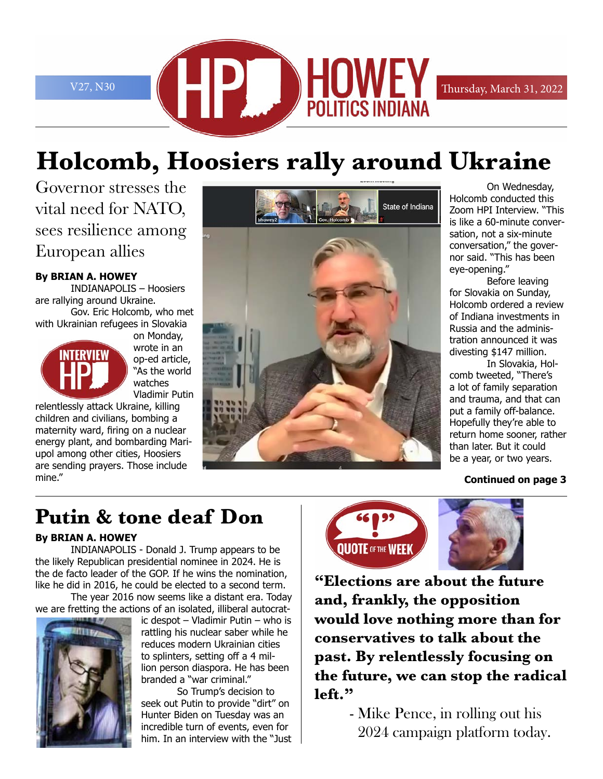

# **Holcomb, Hoosiers rally around Ukraine**

Governor stresses the vital need for NATO, sees resilience among European allies

#### **By BRIAN A. HOWEY**

INDIANAPOLIS – Hoosiers are rallying around Ukraine. Gov. Eric Holcomb, who met with Ukrainian refugees in Slovakia



on Monday, wrote in an op-ed article, "As the world watches Vladimir Putin

relentlessly attack Ukraine, killing children and civilians, bombing a maternity ward, firing on a nuclear energy plant, and bombarding Mariupol among other cities, Hoosiers are sending prayers. Those include mine."



 On Wednesday, Holcomb conducted this Zoom HPI Interview. "This is like a 60-minute conversation, not a six-minute conversation," the governor said. "This has been eye-opening."

 Before leaving for Slovakia on Sunday, Holcomb ordered a review of Indiana investments in Russia and the administration announced it was divesting \$147 million.

 In Slovakia, Holcomb tweeted, "There's a lot of family separation and trauma, and that can put a family off-balance. Hopefully they're able to return home sooner, rather than later. But it could be a year, or two years.

#### **Continued on page 3**

## **Putin & tone deaf Don**

#### **By BRIAN A. HOWEY**

INDIANAPOLIS - Donald J. Trump appears to be the likely Republican presidential nominee in 2024. He is the de facto leader of the GOP. If he wins the nomination, like he did in 2016, he could be elected to a second term.

The year 2016 now seems like a distant era. Today we are fretting the actions of an isolated, illiberal autocrat-



ic despot – Vladimir Putin – who is rattling his nuclear saber while he reduces modern Ukrainian cities to splinters, setting off a 4 million person diaspora. He has been branded a "war criminal."

 So Trump's decision to seek out Putin to provide "dirt" on Hunter Biden on Tuesday was an incredible turn of events, even for him. In an interview with the "Just



**"Elections are about the future and, frankly, the opposition would love nothing more than for conservatives to talk about the past. By relentlessly focusing on the future, we can stop the radical left."**

> - Mike Pence, in rolling out his 2024 campaign platform today.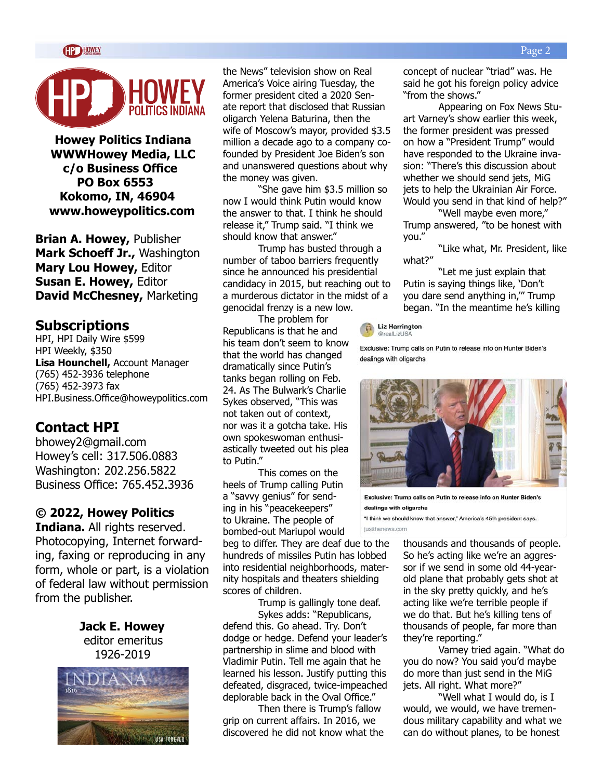

**Howey Politics Indiana WWWHowey Media, LLC c/o Business Office PO Box 6553 Kokomo, IN, 46904 www.howeypolitics.com**

**Brian A. Howey,** Publisher **Mark Schoeff Jr.,** Washington **Mary Lou Howey,** Editor **Susan E. Howey,** Editor **David McChesney,** Marketing

#### **Subscriptions**

HPI, HPI Daily Wire \$599 HPI Weekly, \$350 **Lisa Hounchell,** Account Manager (765) 452-3936 telephone (765) 452-3973 fax HPI.Business.Office@howeypolitics.com

### **Contact HPI**

bhowey2@gmail.com Howey's cell: 317.506.0883 Washington: 202.256.5822 Business Office: 765.452.3936

#### **© 2022, Howey Politics**

**Indiana.** All rights reserved. Photocopying, Internet forwarding, faxing or reproducing in any form, whole or part, is a violation of federal law without permission from the publisher.

> **Jack E. Howey** editor emeritus 1926-2019



the News" television show on Real America's Voice airing Tuesday, the former president cited a 2020 Senate report that disclosed that Russian oligarch Yelena Baturina, then the wife of Moscow's mayor, provided \$3.5 million a decade ago to a company cofounded by President Joe Biden's son and unanswered questions about why the money was given.

"She gave him \$3.5 million so now I would think Putin would know the answer to that. I think he should release it," Trump said. "I think we should know that answer."

Trump has busted through a number of taboo barriers frequently since he announced his presidential candidacy in 2015, but reaching out to a murderous dictator in the midst of a genocidal frenzy is a new low.

The problem for Republicans is that he and his team don't seem to know that the world has changed dramatically since Putin's tanks began rolling on Feb. 24. As The Bulwark's Charlie Sykes observed, "This was not taken out of context, nor was it a gotcha take. His own spokeswoman enthusiastically tweeted out his plea to Putin."

This comes on the heels of Trump calling Putin a "savvy genius" for sending in his "peacekeepers" to Ukraine. The people of bombed-out Mariupol would

beg to differ. They are deaf due to the hundreds of missiles Putin has lobbed into residential neighborhoods, maternity hospitals and theaters shielding scores of children.

Trump is gallingly tone deaf.

Sykes adds: "Republicans, defend this. Go ahead. Try. Don't dodge or hedge. Defend your leader's partnership in slime and blood with Vladimir Putin. Tell me again that he learned his lesson. Justify putting this defeated, disgraced, twice-impeached deplorable back in the Oval Office."

Then there is Trump's fallow grip on current affairs. In 2016, we discovered he did not know what the concept of nuclear "triad" was. He said he got his foreign policy advice "from the shows."

Appearing on Fox News Stuart Varney's show earlier this week, the former president was pressed on how a "President Trump" would have responded to the Ukraine invasion: "There's this discussion about whether we should send jets, MiG jets to help the Ukrainian Air Force. Would you send in that kind of help?"

"Well maybe even more," Trump answered, "to be honest with you."

"Like what, Mr. President, like what?"

"Let me just explain that Putin is saying things like, 'Don't you dare send anything in,'" Trump began. "In the meantime he's killing

 $\sqrt{2}$  Liz Harrington @realLizUSA

Exclusive: Trump calls on Putin to release info on Hunter Biden's dealings with oligarchs



Exclusive: Trump calls on Putin to release info on Hunter Biden's dealings with oligarchs

"I think we should know that answer," America's 45th president says. justthenews.com

> thousands and thousands of people. So he's acting like we're an aggressor if we send in some old 44-yearold plane that probably gets shot at in the sky pretty quickly, and he's acting like we're terrible people if we do that. But he's killing tens of thousands of people, far more than they're reporting."

Varney tried again. "What do you do now? You said you'd maybe do more than just send in the MiG jets. All right. What more?"

"Well what I would do, is I would, we would, we have tremendous military capability and what we can do without planes, to be honest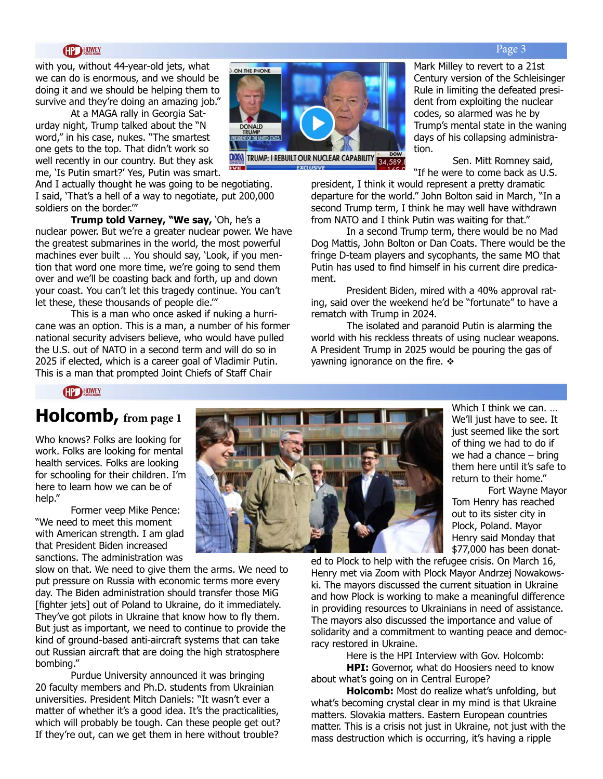#### **HOWEY**

with you, without 44-year-old jets, what we can do is enormous, and we should be doing it and we should be helping them to survive and they're doing an amazing job."

At a MAGA rally in Georgia Saturday night, Trump talked about the "N word," in his case, nukes. "The smartest one gets to the top. That didn't work so well recently in our country. But they ask me, 'Is Putin smart?' Yes, Putin was smart.

And I actually thought he was going to be negotiating. I said, 'That's a hell of a way to negotiate, put 200,000 soldiers on the border.'"

**Trump told Varney, "We say,** 'Oh, he's a nuclear power. But we're a greater nuclear power. We have the greatest submarines in the world, the most powerful machines ever built … You should say, 'Look, if you mention that word one more time, we're going to send them over and we'll be coasting back and forth, up and down your coast. You can't let this tragedy continue. You can't let these, these thousands of people die.'"

This is a man who once asked if nuking a hurricane was an option. This is a man, a number of his former national security advisers believe, who would have pulled the U.S. out of NATO in a second term and will do so in 2025 if elected, which is a career goal of Vladimir Putin. This is a man that prompted Joint Chiefs of Staff Chair



EXCLUSIVE

Mark Milley to revert to a 21st Century version of the Schleisinger Rule in limiting the defeated president from exploiting the nuclear codes, so alarmed was he by Trump's mental state in the waning days of his collapsing administration.

 Sen. Mitt Romney said, "If he were to come back as U.S.

president, I think it would represent a pretty dramatic departure for the world." John Bolton said in March, "In a second Trump term, I think he may well have withdrawn from NATO and I think Putin was waiting for that."

In a second Trump term, there would be no Mad Dog Mattis, John Bolton or Dan Coats. There would be the fringe D-team players and sycophants, the same MO that Putin has used to find himself in his current dire predicament.

President Biden, mired with a 40% approval rating, said over the weekend he'd be "fortunate" to have a rematch with Trump in 2024.

The isolated and paranoid Putin is alarming the world with his reckless threats of using nuclear weapons. A President Trump in 2025 would be pouring the gas of yawning ignorance on the fire.  $\div$ 

#### **CIP HOWEY**

### **Holcomb, from page 1**

Who knows? Folks are looking for work. Folks are looking for mental health services. Folks are looking for schooling for their children. I'm here to learn how we can be of help."

Former veep Mike Pence: "We need to meet this moment with American strength. I am glad that President Biden increased sanctions. The administration was

slow on that. We need to give them the arms. We need to put pressure on Russia with economic terms more every day. The Biden administration should transfer those MiG [fighter jets] out of Poland to Ukraine, do it immediately. They've got pilots in Ukraine that know how to fly them. But just as important, we need to continue to provide the kind of ground-based anti-aircraft systems that can take out Russian aircraft that are doing the high stratosphere bombing."

Purdue University announced it was bringing 20 faculty members and Ph.D. students from Ukrainian universities. President Mitch Daniels: "It wasn't ever a matter of whether it's a good idea. It's the practicalities, which will probably be tough. Can these people get out? If they're out, can we get them in here without trouble?



Which I think we can. … We'll just have to see. It just seemed like the sort of thing we had to do if we had a chance – bring them here until it's safe to return to their home."

 Fort Wayne Mayor Tom Henry has reached out to its sister city in Plock, Poland. Mayor Henry said Monday that \$77,000 has been donat-

ed to Plock to help with the refugee crisis. On March 16, Henry met via Zoom with Plock Mayor Andrzej Nowakowski. The mayors discussed the current situation in Ukraine and how Plock is working to make a meaningful difference in providing resources to Ukrainians in need of assistance. The mayors also discussed the importance and value of solidarity and a commitment to wanting peace and democracy restored in Ukraine.

Here is the HPI Interview with Gov. Holcomb: **HPI:** Governor, what do Hoosiers need to know about what's going on in Central Europe?

**Holcomb:** Most do realize what's unfolding, but what's becoming crystal clear in my mind is that Ukraine matters. Slovakia matters. Eastern European countries matter. This is a crisis not just in Ukraine, not just with the mass destruction which is occurring, it's having a ripple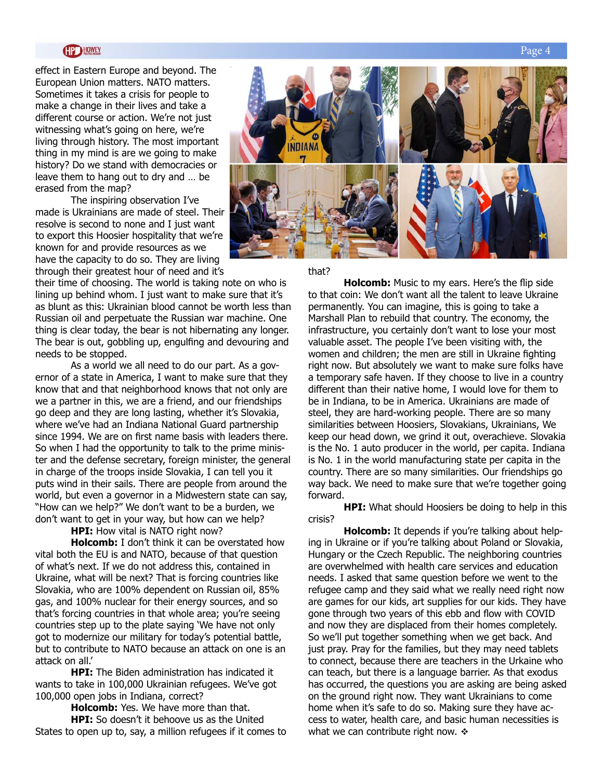#### **HP HOWEY**

effect in Eastern Europe and beyond. The European Union matters. NATO matters. Sometimes it takes a crisis for people to make a change in their lives and take a different course or action. We're not just witnessing what's going on here, we're living through history. The most important thing in my mind is are we going to make history? Do we stand with democracies or leave them to hang out to dry and … be erased from the map?

The inspiring observation I've made is Ukrainians are made of steel. Their resolve is second to none and I just want to export this Hoosier hospitality that we're known for and provide resources as we have the capacity to do so. They are living through their greatest hour of need and it's

their time of choosing. The world is taking note on who is lining up behind whom. I just want to make sure that it's as blunt as this: Ukrainian blood cannot be worth less than Russian oil and perpetuate the Russian war machine. One thing is clear today, the bear is not hibernating any longer. The bear is out, gobbling up, engulfing and devouring and needs to be stopped.

As a world we all need to do our part. As a governor of a state in America, I want to make sure that they know that and that neighborhood knows that not only are we a partner in this, we are a friend, and our friendships go deep and they are long lasting, whether it's Slovakia, where we've had an Indiana National Guard partnership since 1994. We are on first name basis with leaders there. So when I had the opportunity to talk to the prime minister and the defense secretary, foreign minister, the general in charge of the troops inside Slovakia, I can tell you it puts wind in their sails. There are people from around the world, but even a governor in a Midwestern state can say, "How can we help?" We don't want to be a burden, we don't want to get in your way, but how can we help?

**HPI:** How vital is NATO right now?

**Holcomb:** I don't think it can be overstated how vital both the EU is and NATO, because of that question of what's next. If we do not address this, contained in Ukraine, what will be next? That is forcing countries like Slovakia, who are 100% dependent on Russian oil, 85% gas, and 100% nuclear for their energy sources, and so that's forcing countries in that whole area; you're seeing countries step up to the plate saying 'We have not only got to modernize our military for today's potential battle, but to contribute to NATO because an attack on one is an attack on all.'

**HPI:** The Biden administration has indicated it wants to take in 100,000 Ukrainian refugees. We've got 100,000 open jobs in Indiana, correct?

**Holcomb:** Yes. We have more than that. **HPI:** So doesn't it behoove us as the United States to open up to, say, a million refugees if it comes to



#### that?

**Holcomb:** Music to my ears. Here's the flip side to that coin: We don't want all the talent to leave Ukraine permanently. You can imagine, this is going to take a Marshall Plan to rebuild that country. The economy, the infrastructure, you certainly don't want to lose your most valuable asset. The people I've been visiting with, the women and children; the men are still in Ukraine fighting right now. But absolutely we want to make sure folks have a temporary safe haven. If they choose to live in a country different than their native home, I would love for them to be in Indiana, to be in America. Ukrainians are made of steel, they are hard-working people. There are so many similarities between Hoosiers, Slovakians, Ukrainians, We keep our head down, we grind it out, overachieve. Slovakia is the No. 1 auto producer in the world, per capita. Indiana is No. 1 in the world manufacturing state per capita in the country. There are so many similarities. Our friendships go way back. We need to make sure that we're together going forward.

**HPI:** What should Hoosiers be doing to help in this crisis?

**Holcomb:** It depends if you're talking about helping in Ukraine or if you're talking about Poland or Slovakia, Hungary or the Czech Republic. The neighboring countries are overwhelmed with health care services and education needs. I asked that same question before we went to the refugee camp and they said what we really need right now are games for our kids, art supplies for our kids. They have gone through two years of this ebb and flow with COVID and now they are displaced from their homes completely. So we'll put together something when we get back. And just pray. Pray for the families, but they may need tablets to connect, because there are teachers in the Urkaine who can teach, but there is a language barrier. As that exodus has occurred, the questions you are asking are being asked on the ground right now. They want Ukrainians to come home when it's safe to do so. Making sure they have access to water, health care, and basic human necessities is what we can contribute right now.  $\div$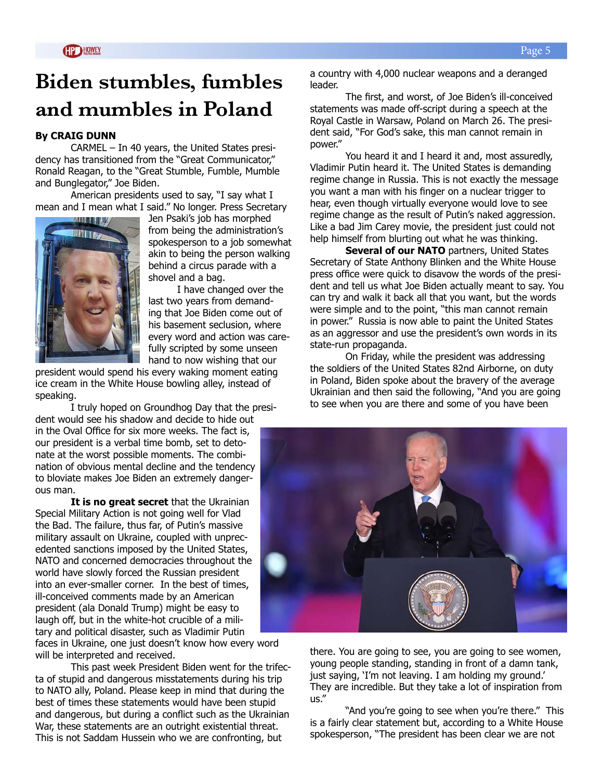## **Biden stumbles, fumbles and mumbles in Poland**

#### **By CRAIG DUNN**

CARMEL – In 40 years, the United States presidency has transitioned from the "Great Communicator," Ronald Reagan, to the "Great Stumble, Fumble, Mumble and Bunglegator," Joe Biden.

American presidents used to say, "I say what I mean and I mean what I said." No longer. Press Secretary



Jen Psaki's job has morphed from being the administration's spokesperson to a job somewhat akin to being the person walking behind a circus parade with a shovel and a bag.

I have changed over the last two years from demanding that Joe Biden come out of his basement seclusion, where every word and action was carefully scripted by some unseen hand to now wishing that our

president would spend his every waking moment eating ice cream in the White House bowling alley, instead of speaking.

I truly hoped on Groundhog Day that the president would see his shadow and decide to hide out

in the Oval Office for six more weeks. The fact is, our president is a verbal time bomb, set to detonate at the worst possible moments. The combination of obvious mental decline and the tendency to bloviate makes Joe Biden an extremely dangerous man.

**It is no great secret** that the Ukrainian Special Military Action is not going well for Vlad the Bad. The failure, thus far, of Putin's massive military assault on Ukraine, coupled with unprecedented sanctions imposed by the United States, NATO and concerned democracies throughout the world have slowly forced the Russian president into an ever-smaller corner. In the best of times, ill-conceived comments made by an American president (ala Donald Trump) might be easy to laugh off, but in the white-hot crucible of a military and political disaster, such as Vladimir Putin

faces in Ukraine, one just doesn't know how every word will be interpreted and received.

This past week President Biden went for the trifecta of stupid and dangerous misstatements during his trip to NATO ally, Poland. Please keep in mind that during the best of times these statements would have been stupid and dangerous, but during a conflict such as the Ukrainian War, these statements are an outright existential threat. This is not Saddam Hussein who we are confronting, but

a country with 4,000 nuclear weapons and a deranged leader.

The first, and worst, of Joe Biden's ill-conceived statements was made off-script during a speech at the Royal Castle in Warsaw, Poland on March 26. The president said, "For God's sake, this man cannot remain in power."

You heard it and I heard it and, most assuredly, Vladimir Putin heard it. The United States is demanding regime change in Russia. This is not exactly the message you want a man with his finger on a nuclear trigger to hear, even though virtually everyone would love to see regime change as the result of Putin's naked aggression. Like a bad Jim Carey movie, the president just could not help himself from blurting out what he was thinking.

**Several of our NATO** partners, United States Secretary of State Anthony Blinken and the White House press office were quick to disavow the words of the president and tell us what Joe Biden actually meant to say. You can try and walk it back all that you want, but the words were simple and to the point, "this man cannot remain in power." Russia is now able to paint the United States as an aggressor and use the president's own words in its state-run propaganda.

On Friday, while the president was addressing the soldiers of the United States 82nd Airborne, on duty in Poland, Biden spoke about the bravery of the average Ukrainian and then said the following, "And you are going to see when you are there and some of you have been



there. You are going to see, you are going to see women, young people standing, standing in front of a damn tank, just saying, 'I'm not leaving. I am holding my ground.' They are incredible. But they take a lot of inspiration from us."

"And you're going to see when you're there." This is a fairly clear statement but, according to a White House spokesperson, "The president has been clear we are not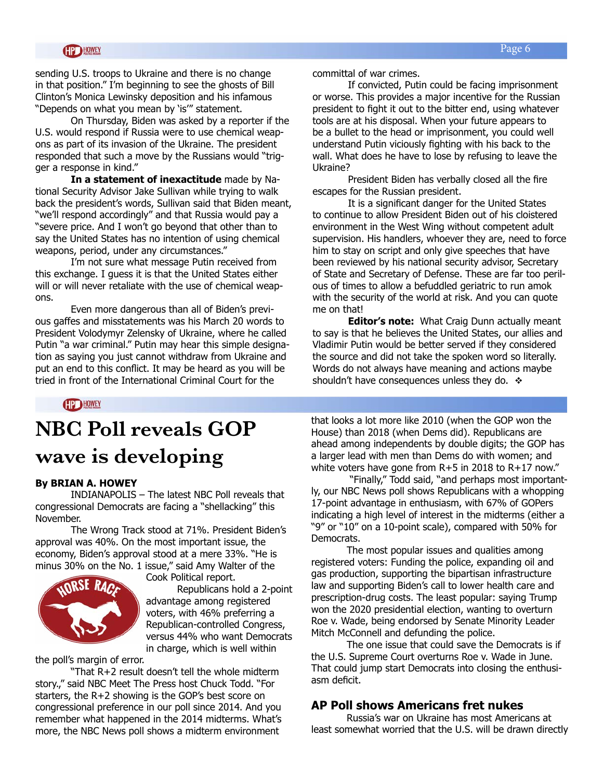sending U.S. troops to Ukraine and there is no change in that position." I'm beginning to see the ghosts of Bill Clinton's Monica Lewinsky deposition and his infamous "Depends on what you mean by 'is'" statement.

On Thursday, Biden was asked by a reporter if the U.S. would respond if Russia were to use chemical weapons as part of its invasion of the Ukraine. The president responded that such a move by the Russians would "trigger a response in kind."

**In a statement of inexactitude** made by National Security Advisor Jake Sullivan while trying to walk back the president's words, Sullivan said that Biden meant, "we'll respond accordingly" and that Russia would pay a "severe price. And I won't go beyond that other than to say the United States has no intention of using chemical weapons, period, under any circumstances."

I'm not sure what message Putin received from this exchange. I guess it is that the United States either will or will never retaliate with the use of chemical weapons.

Even more dangerous than all of Biden's previous gaffes and misstatements was his March 20 words to President Volodymyr Zelensky of Ukraine, where he called Putin "a war criminal." Putin may hear this simple designation as saying you just cannot withdraw from Ukraine and put an end to this conflict. It may be heard as you will be tried in front of the International Criminal Court for the

committal of war crimes.

If convicted, Putin could be facing imprisonment or worse. This provides a major incentive for the Russian president to fight it out to the bitter end, using whatever tools are at his disposal. When your future appears to be a bullet to the head or imprisonment, you could well understand Putin viciously fighting with his back to the wall. What does he have to lose by refusing to leave the Ukraine?

President Biden has verbally closed all the fire escapes for the Russian president.

It is a significant danger for the United States to continue to allow President Biden out of his cloistered environment in the West Wing without competent adult supervision. His handlers, whoever they are, need to force him to stay on script and only give speeches that have been reviewed by his national security advisor, Secretary of State and Secretary of Defense. These are far too perilous of times to allow a befuddled geriatric to run amok with the security of the world at risk. And you can quote me on that!

**Editor's note:** What Craig Dunn actually meant to say is that he believes the United States, our allies and Vladimir Putin would be better served if they considered the source and did not take the spoken word so literally. Words do not always have meaning and actions maybe shouldn't have consequences unless they do.  $\div$ 

**HP HOWEY** 

## **NBC Poll reveals GOP wave is developing**

#### **By BRIAN A. HOWEY**

INDIANAPOLIS – The latest NBC Poll reveals that congressional Democrats are facing a "shellacking" this November.

The Wrong Track stood at 71%. President Biden's approval was 40%. On the most important issue, the economy, Biden's approval stood at a mere 33%. "He is minus 30% on the No. 1 issue," said Amy Walter of the



Cook Political report. Republicans hold a 2-point advantage among registered voters, with 46% preferring a Republican-controlled Congress, versus 44% who want Democrats in charge, which is well within

the poll's margin of error.

"That R+2 result doesn't tell the whole midterm story.," said NBC Meet The Press host Chuck Todd. "For starters, the R+2 showing is the GOP's best score on congressional preference in our poll since 2014. And you remember what happened in the 2014 midterms. What's more, the NBC News poll shows a midterm environment

that looks a lot more like 2010 (when the GOP won the House) than 2018 (when Dems did). Republicans are ahead among independents by double digits; the GOP has a larger lead with men than Dems do with women; and white voters have gone from R+5 in 2018 to R+17 now."

 "Finally," Todd said, "and perhaps most importantly, our NBC News poll shows Republicans with a whopping 17-point advantage in enthusiasm, with 67% of GOPers indicating a high level of interest in the midterms (either a "9" or "10" on a 10-point scale), compared with 50% for Democrats.

The most popular issues and qualities among registered voters: Funding the police, expanding oil and gas production, supporting the bipartisan infrastructure law and supporting Biden's call to lower health care and prescription-drug costs. The least popular: saying Trump won the 2020 presidential election, wanting to overturn Roe v. Wade, being endorsed by Senate Minority Leader Mitch McConnell and defunding the police.

The one issue that could save the Democrats is if the U.S. Supreme Court overturns Roe v. Wade in June. That could jump start Democrats into closing the enthusiasm deficit.

#### **AP Poll shows Americans fret nukes**

Russia's war on Ukraine has most Americans at least somewhat worried that the U.S. will be drawn directly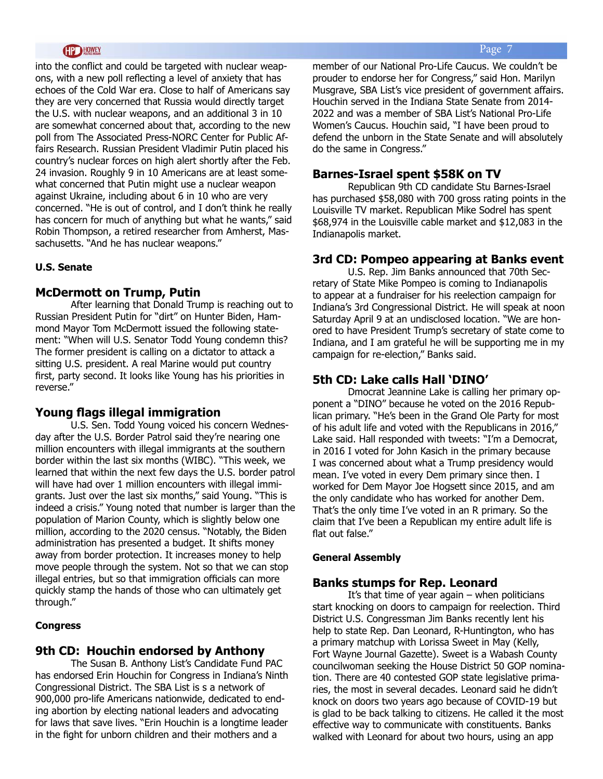#### **HOWEY**

into the conflict and could be targeted with nuclear weapons, with a new poll reflecting a level of anxiety that has echoes of the Cold War era. Close to half of Americans say they are very concerned that Russia would directly target the U.S. with nuclear weapons, and an additional 3 in 10 are somewhat concerned about that, according to the new poll from The Associated Press-NORC Center for Public Affairs Research. Russian President Vladimir Putin placed his country's nuclear forces on high alert shortly after the Feb. 24 invasion. Roughly 9 in 10 Americans are at least somewhat concerned that Putin might use a nuclear weapon against Ukraine, including about 6 in 10 who are very concerned. "He is out of control, and I don't think he really has concern for much of anything but what he wants," said Robin Thompson, a retired researcher from Amherst, Massachusetts. "And he has nuclear weapons."

#### **U.S. Senate**

#### **McDermott on Trump, Putin**

After learning that Donald Trump is reaching out to Russian President Putin for "dirt" on Hunter Biden, Hammond Mayor Tom McDermott issued the following statement: "When will U.S. Senator Todd Young condemn this? The former president is calling on a dictator to attack a sitting U.S. president. A real Marine would put country first, party second. It looks like Young has his priorities in reverse."

#### **Young flags illegal immigration**

U.S. Sen. Todd Young voiced his concern Wednesday after the U.S. Border Patrol said they're nearing one million encounters with illegal immigrants at the southern border within the last six months (WIBC). "This week, we learned that within the next few days the U.S. border patrol will have had over 1 million encounters with illegal immigrants. Just over the last six months," said Young. "This is indeed a crisis." Young noted that number is larger than the population of Marion County, which is slightly below one million, according to the 2020 census. "Notably, the Biden administration has presented a budget. It shifts money away from border protection. It increases money to help move people through the system. Not so that we can stop illegal entries, but so that immigration officials can more quickly stamp the hands of those who can ultimately get through."

#### **Congress**

#### **9th CD: Houchin endorsed by Anthony**

The Susan B. Anthony List's Candidate Fund PAC has endorsed Erin Houchin for Congress in Indiana's Ninth Congressional District. The SBA List is s a network of 900,000 pro-life Americans nationwide, dedicated to ending abortion by electing national leaders and advocating for laws that save lives. "Erin Houchin is a longtime leader in the fight for unborn children and their mothers and a

member of our National Pro-Life Caucus. We couldn't be prouder to endorse her for Congress," said Hon. Marilyn Musgrave, SBA List's vice president of government affairs. Houchin served in the Indiana State Senate from 2014- 2022 and was a member of SBA List's National Pro-Life Women's Caucus. Houchin said, "I have been proud to defend the unborn in the State Senate and will absolutely do the same in Congress."

#### **Barnes-Israel spent \$58K on TV**

Republican 9th CD candidate Stu Barnes-Israel has purchased \$58,080 with 700 gross rating points in the Louisville TV market. Republican Mike Sodrel has spent \$68,974 in the Louisville cable market and \$12,083 in the Indianapolis market.

#### **3rd CD: Pompeo appearing at Banks event**

U.S. Rep. Jim Banks announced that 70th Secretary of State Mike Pompeo is coming to Indianapolis to appear at a fundraiser for his reelection campaign for Indiana's 3rd Congressional District. He will speak at noon Saturday April 9 at an undisclosed location. "We are honored to have President Trump's secretary of state come to Indiana, and I am grateful he will be supporting me in my campaign for re-election," Banks said.

#### **5th CD: Lake calls Hall 'DINO'**

Dmocrat Jeannine Lake is calling her primary opponent a "DINO" because he voted on the 2016 Republican primary. "He's been in the Grand Ole Party for most of his adult life and voted with the Republicans in 2016," Lake said. Hall responded with tweets: "I'm a Democrat, in 2016 I voted for John Kasich in the primary because I was concerned about what a Trump presidency would mean. I've voted in every Dem primary since then. I worked for Dem Mayor Joe Hogsett since 2015, and am the only candidate who has worked for another Dem. That's the only time I've voted in an R primary. So the claim that I've been a Republican my entire adult life is flat out false."

#### **General Assembly**

#### **Banks stumps for Rep. Leonard**

It's that time of year again  $-$  when politicians start knocking on doors to campaign for reelection. Third District U.S. Congressman Jim Banks recently lent his help to state Rep. Dan Leonard, R-Huntington, who has a primary matchup with Lorissa Sweet in May (Kelly, Fort Wayne Journal Gazette). Sweet is a Wabash County councilwoman seeking the House District 50 GOP nomination. There are 40 contested GOP state legislative primaries, the most in several decades. Leonard said he didn't knock on doors two years ago because of COVID-19 but is glad to be back talking to citizens. He called it the most effective way to communicate with constituents. Banks walked with Leonard for about two hours, using an app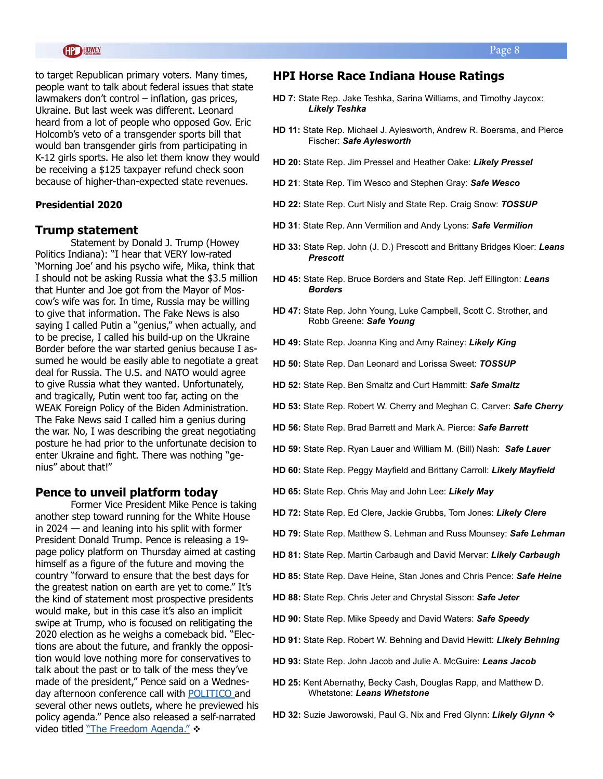#### **HP HOWEY**

to target Republican primary voters. Many times, people want to talk about federal issues that state lawmakers don't control – inflation, gas prices, Ukraine. But last week was different. Leonard heard from a lot of people who opposed Gov. Eric Holcomb's veto of a transgender sports bill that would ban transgender girls from participating in K-12 girls sports. He also let them know they would be receiving a \$125 taxpayer refund check soon because of higher-than-expected state revenues.

#### **Presidential 2020**

#### **Trump statement**

Statement by Donald J. Trump (Howey Politics Indiana): "I hear that VERY low-rated 'Morning Joe' and his psycho wife, Mika, think that I should not be asking Russia what the \$3.5 million that Hunter and Joe got from the Mayor of Moscow's wife was for. In time, Russia may be willing to give that information. The Fake News is also saying I called Putin a "genius," when actually, and to be precise, I called his build-up on the Ukraine Border before the war started genius because I assumed he would be easily able to negotiate a great deal for Russia. The U.S. and NATO would agree to give Russia what they wanted. Unfortunately, and tragically, Putin went too far, acting on the WEAK Foreign Policy of the Biden Administration. The Fake News said I called him a genius during the war. No, I was describing the great negotiating posture he had prior to the unfortunate decision to enter Ukraine and fight. There was nothing "genius" about that!"

#### **Pence to unveil platform today**

Former Vice President Mike Pence is taking another step toward running for the White House in 2024 — and leaning into his split with former President Donald Trump. Pence is releasing a 19 page policy platform on Thursday aimed at casting himself as a figure of the future and moving the country "forward to ensure that the best days for the greatest nation on earth are yet to come." It's the kind of statement most prospective presidents would make, but in this case it's also an implicit swipe at Trump, who is focused on relitigating the 2020 election as he weighs a comeback bid. "Elections are about the future, and frankly the opposition would love nothing more for conservatives to talk about the past or to talk of the mess they've made of the president," Pence said on a Wednesday afternoon conference call with [POLITICO](https://www.politico.com/news/2022/03/31/pence-new-policy-platform-00021934) and several other news outlets, where he previewed his policy agenda." Pence also released a self-narrated video titled ["The Freedom Agenda."](https://www.youtube.com/watch?app=desktop&v=Wvoa-q4Nqfw) \*

#### **HPI Horse Race Indiana House Ratings**

- **HD 7:** State Rep. Jake Teshka, Sarina Williams, and Timothy Jaycox: *Likely Teshka*
- **HD 11:** State Rep. Michael J. Aylesworth, Andrew R. Boersma, and Pierce Fischer: *Safe Aylesworth*
- **HD 20:** State Rep. Jim Pressel and Heather Oake: *Likely Pressel*
- **HD 21**: State Rep. Tim Wesco and Stephen Gray: *Safe Wesco*
- **HD 22:** State Rep. Curt Nisly and State Rep. Craig Snow: *TOSSUP*
- **HD 31**: State Rep. Ann Vermilion and Andy Lyons: *Safe Vermilion*
- **HD 33:** State Rep. John (J. D.) Prescott and Brittany Bridges Kloer: *Leans Prescott*
- **HD 45:** State Rep. Bruce Borders and State Rep. Jeff Ellington: *Leans Borders*
- **HD 47:** State Rep. John Young, Luke Campbell, Scott C. Strother, and Robb Greene: *Safe Young*
- **HD 49:** State Rep. Joanna King and Amy Rainey: *Likely King*
- **HD 50:** State Rep. Dan Leonard and Lorissa Sweet: *TOSSUP*
- **HD 52:** State Rep. Ben Smaltz and Curt Hammitt: *Safe Smaltz*
- **HD 53:** State Rep. Robert W. Cherry and Meghan C. Carver: *Safe Cherry*
- **HD 56:** State Rep. Brad Barrett and Mark A. Pierce: *Safe Barrett*
- **HD 59:** State Rep. Ryan Lauer and William M. (Bill) Nash: *Safe Lauer*
- **HD 60:** State Rep. Peggy Mayfield and Brittany Carroll: *Likely Mayfield*
- **HD 65:** State Rep. Chris May and John Lee: *Likely May*
- **HD 72:** State Rep. Ed Clere, Jackie Grubbs, Tom Jones: *Likely Clere*
- **HD 79:** State Rep. Matthew S. Lehman and Russ Mounsey: *Safe Lehman*
- **HD 81:** State Rep. Martin Carbaugh and David Mervar: *Likely Carbaugh*
- **HD 85:** State Rep. Dave Heine, Stan Jones and Chris Pence: *Safe Heine*
- **HD 88:** State Rep. Chris Jeter and Chrystal Sisson: *Safe Jeter*
- **HD 90:** State Rep. Mike Speedy and David Waters: *Safe Speedy*
- **HD 91:** State Rep. Robert W. Behning and David Hewitt: *Likely Behning*
- **HD 93:** State Rep. John Jacob and Julie A. McGuire: *Leans Jacob*
- **HD 25:** Kent Abernathy, Becky Cash, Douglas Rapp, and Matthew D. Whetstone: *Leans Whetstone*
- **HD 32:** Suzie Jaworowski, Paul G. Nix and Fred Glynn: *Likely Glynn* v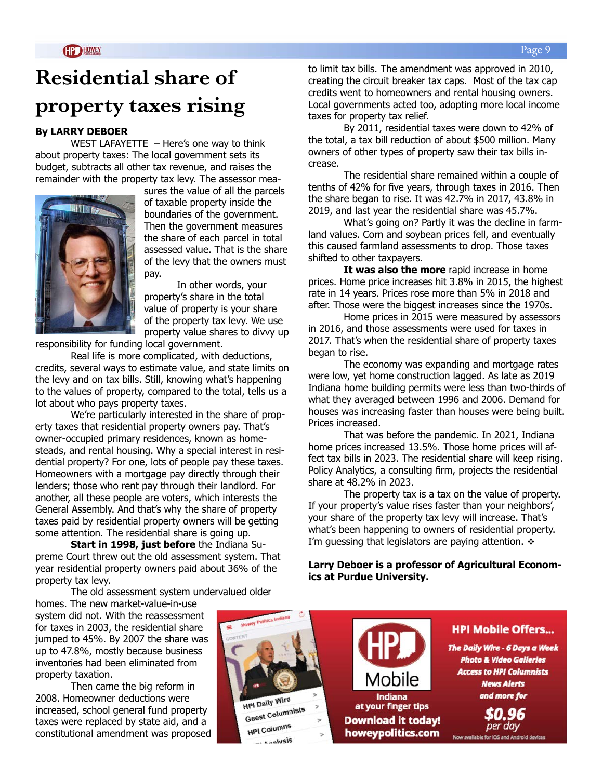## **Residential share of property taxes rising**

#### **By LARRY DEBOER**

WEST LAFAYETTE  $-$  Here's one way to think about property taxes: The local government sets its budget, subtracts all other tax revenue, and raises the remainder with the property tax levy. The assessor mea-



sures the value of all the parcels of taxable property inside the boundaries of the government. Then the government measures the share of each parcel in total assessed value. That is the share of the levy that the owners must pay.

In other words, your property's share in the total value of property is your share of the property tax levy. We use property value shares to divvy up

responsibility for funding local government.

Real life is more complicated, with deductions, credits, several ways to estimate value, and state limits on the levy and on tax bills. Still, knowing what's happening to the values of property, compared to the total, tells us a lot about who pays property taxes.

We're particularly interested in the share of property taxes that residential property owners pay. That's owner-occupied primary residences, known as homesteads, and rental housing. Why a special interest in residential property? For one, lots of people pay these taxes. Homeowners with a mortgage pay directly through their lenders; those who rent pay through their landlord. For another, all these people are voters, which interests the General Assembly. And that's why the share of property taxes paid by residential property owners will be getting some attention. The residential share is going up.

**Start in 1998, just before** the Indiana Supreme Court threw out the old assessment system. That year residential property owners paid about 36% of the property tax levy.

The old assessment system undervalued older

homes. The new market-value-in-use system did not. With the reassessment for taxes in 2003, the residential share jumped to 45%. By 2007 the share was up to 47.8%, mostly because business inventories had been eliminated from property taxation.

Then came the big reform in 2008. Homeowner deductions were increased, school general fund property taxes were replaced by state aid, and a constitutional amendment was proposed to limit tax bills. The amendment was approved in 2010, creating the circuit breaker tax caps. Most of the tax cap credits went to homeowners and rental housing owners. Local governments acted too, adopting more local income taxes for property tax relief.

By 2011, residential taxes were down to 42% of the total, a tax bill reduction of about \$500 million. Many owners of other types of property saw their tax bills increase.

The residential share remained within a couple of tenths of 42% for five years, through taxes in 2016. Then the share began to rise. It was 42.7% in 2017, 43.8% in 2019, and last year the residential share was 45.7%.

What's going on? Partly it was the decline in farmland values. Corn and soybean prices fell, and eventually this caused farmland assessments to drop. Those taxes shifted to other taxpayers.

**It was also the more** rapid increase in home prices. Home price increases hit 3.8% in 2015, the highest rate in 14 years. Prices rose more than 5% in 2018 and after. Those were the biggest increases since the 1970s.

Home prices in 2015 were measured by assessors in 2016, and those assessments were used for taxes in 2017. That's when the residential share of property taxes began to rise.

The economy was expanding and mortgage rates were low, yet home construction lagged. As late as 2019 Indiana home building permits were less than two-thirds of what they averaged between 1996 and 2006. Demand for houses was increasing faster than houses were being built. Prices increased.

That was before the pandemic. In 2021, Indiana home prices increased 13.5%. Those home prices will affect tax bills in 2023. The residential share will keep rising. Policy Analytics, a consulting firm, projects the residential share at 48.2% in 2023.

The property tax is a tax on the value of property. If your property's value rises faster than your neighbors', your share of the property tax levy will increase. That's what's been happening to owners of residential property. I'm guessing that legislators are paying attention.  $\cdot$ 

**Larry Deboer is a professor of Agricultural Economics at Purdue University.** 

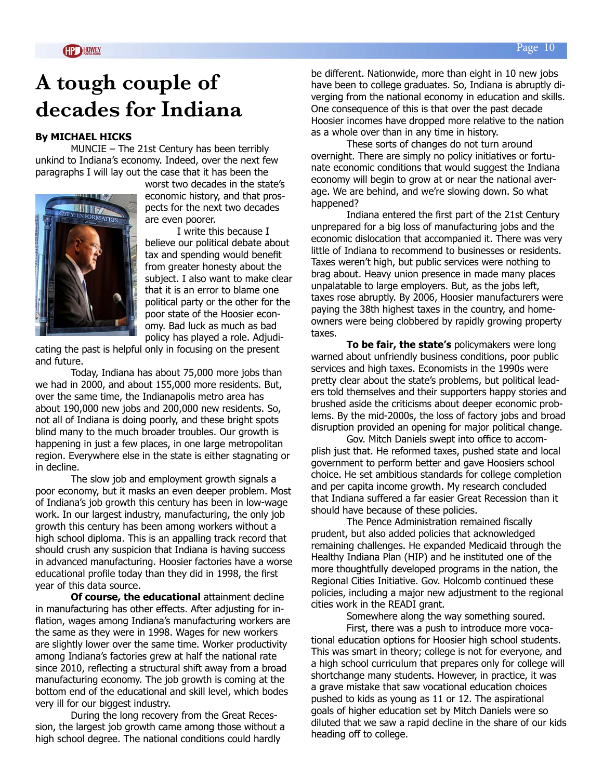## **A tough couple of decades for Indiana**

#### **By MICHAEL HICKS**

MUNCIE – The 21st Century has been terribly unkind to Indiana's economy. Indeed, over the next few paragraphs I will lay out the case that it has been the



worst two decades in the state's economic history, and that prospects for the next two decades are even poorer.

I write this because I believe our political debate about tax and spending would benefit from greater honesty about the subject. I also want to make clear that it is an error to blame one political party or the other for the poor state of the Hoosier economy. Bad luck as much as bad policy has played a role. Adjudi-

cating the past is helpful only in focusing on the present and future.

Today, Indiana has about 75,000 more jobs than we had in 2000, and about 155,000 more residents. But, over the same time, the Indianapolis metro area has about 190,000 new jobs and 200,000 new residents. So, not all of Indiana is doing poorly, and these bright spots blind many to the much broader troubles. Our growth is happening in just a few places, in one large metropolitan region. Everywhere else in the state is either stagnating or in decline.

The slow job and employment growth signals a poor economy, but it masks an even deeper problem. Most of Indiana's job growth this century has been in low-wage work. In our largest industry, manufacturing, the only job growth this century has been among workers without a high school diploma. This is an appalling track record that should crush any suspicion that Indiana is having success in advanced manufacturing. Hoosier factories have a worse educational profile today than they did in 1998, the first year of this data source.

**Of course, the educational** attainment decline in manufacturing has other effects. After adjusting for inflation, wages among Indiana's manufacturing workers are the same as they were in 1998. Wages for new workers are slightly lower over the same time. Worker productivity among Indiana's factories grew at half the national rate since 2010, reflecting a structural shift away from a broad manufacturing economy. The job growth is coming at the bottom end of the educational and skill level, which bodes very ill for our biggest industry.

During the long recovery from the Great Recession, the largest job growth came among those without a high school degree. The national conditions could hardly

be different. Nationwide, more than eight in 10 new jobs have been to college graduates. So, Indiana is abruptly diverging from the national economy in education and skills. One consequence of this is that over the past decade Hoosier incomes have dropped more relative to the nation as a whole over than in any time in history.

These sorts of changes do not turn around overnight. There are simply no policy initiatives or fortunate economic conditions that would suggest the Indiana economy will begin to grow at or near the national average. We are behind, and we're slowing down. So what happened?

Indiana entered the first part of the 21st Century unprepared for a big loss of manufacturing jobs and the economic dislocation that accompanied it. There was very little of Indiana to recommend to businesses or residents. Taxes weren't high, but public services were nothing to brag about. Heavy union presence in made many places unpalatable to large employers. But, as the jobs left, taxes rose abruptly. By 2006, Hoosier manufacturers were paying the 38th highest taxes in the country, and homeowners were being clobbered by rapidly growing property taxes.

**To be fair, the state's** policymakers were long warned about unfriendly business conditions, poor public services and high taxes. Economists in the 1990s were pretty clear about the state's problems, but political leaders told themselves and their supporters happy stories and brushed aside the criticisms about deeper economic problems. By the mid-2000s, the loss of factory jobs and broad disruption provided an opening for major political change.

Gov. Mitch Daniels swept into office to accomplish just that. He reformed taxes, pushed state and local government to perform better and gave Hoosiers school choice. He set ambitious standards for college completion and per capita income growth. My research concluded that Indiana suffered a far easier Great Recession than it should have because of these policies.

The Pence Administration remained fiscally prudent, but also added policies that acknowledged remaining challenges. He expanded Medicaid through the Healthy Indiana Plan (HIP) and he instituted one of the more thoughtfully developed programs in the nation, the Regional Cities Initiative. Gov. Holcomb continued these policies, including a major new adjustment to the regional cities work in the READI grant.

Somewhere along the way something soured.

First, there was a push to introduce more vocational education options for Hoosier high school students. This was smart in theory; college is not for everyone, and a high school curriculum that prepares only for college will shortchange many students. However, in practice, it was a grave mistake that saw vocational education choices pushed to kids as young as 11 or 12. The aspirational goals of higher education set by Mitch Daniels were so diluted that we saw a rapid decline in the share of our kids heading off to college.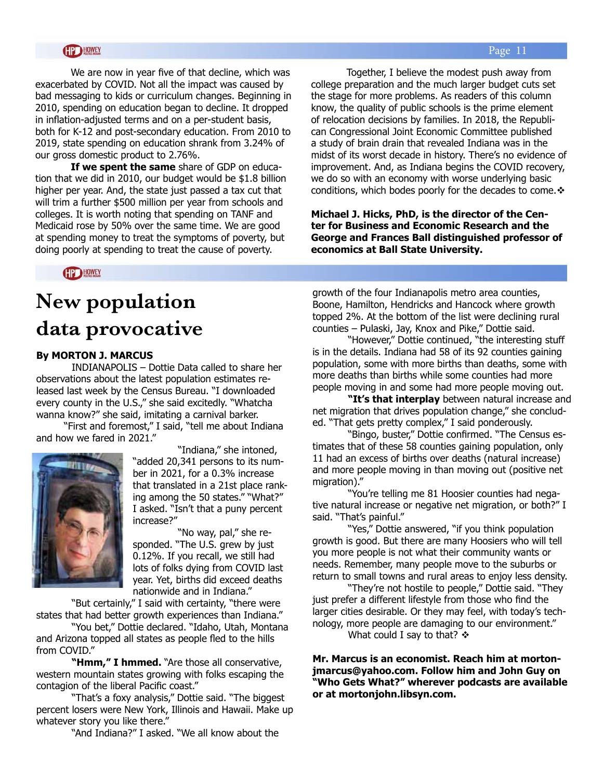#### **HP HOWEY**

We are now in year five of that decline, which was exacerbated by COVID. Not all the impact was caused by bad messaging to kids or curriculum changes. Beginning in 2010, spending on education began to decline. It dropped in inflation-adjusted terms and on a per-student basis, both for K-12 and post-secondary education. From 2010 to 2019, state spending on education shrank from 3.24% of our gross domestic product to 2.76%.

**If we spent the same** share of GDP on education that we did in 2010, our budget would be \$1.8 billion higher per year. And, the state just passed a tax cut that will trim a further \$500 million per year from schools and colleges. It is worth noting that spending on TANF and Medicaid rose by 50% over the same time. We are good at spending money to treat the symptoms of poverty, but doing poorly at spending to treat the cause of poverty.

Together, I believe the modest push away from college preparation and the much larger budget cuts set the stage for more problems. As readers of this column know, the quality of public schools is the prime element of relocation decisions by families. In 2018, the Republican Congressional Joint Economic Committee published a study of brain drain that revealed Indiana was in the midst of its worst decade in history. There's no evidence of improvement. And, as Indiana begins the COVID recovery, we do so with an economy with worse underlying basic conditions, which bodes poorly for the decades to come. $\mathbf{\hat{v}}$ 

**Michael J. Hicks, PhD, is the director of the Center for Business and Economic Research and the George and Frances Ball distinguished professor of economics at Ball State University.** 

HP HOWEY

## **New population data provocative**

#### **By MORTON J. MARCUS**

INDIANAPOLIS – Dottie Data called to share her observations about the latest population estimates released last week by the Census Bureau. "I downloaded every county in the U.S.," she said excitedly. "Whatcha wanna know?" she said, imitating a carnival barker.

 "First and foremost," I said, "tell me about Indiana and how we fared in 2021."



 "Indiana," she intoned, "added 20,341 persons to its number in 2021, for a 0.3% increase that translated in a 21st place ranking among the 50 states." "What?" I asked. "Isn't that a puny percent increase?"

 "No way, pal," she responded. "The U.S. grew by just 0.12%. If you recall, we still had lots of folks dying from COVID last year. Yet, births did exceed deaths nationwide and in Indiana."

 "But certainly," I said with certainty, "there were states that had better growth experiences than Indiana."

 "You bet," Dottie declared. "Idaho, Utah, Montana and Arizona topped all states as people fled to the hills from COVID."

 **"Hmm," I hmmed.** "Are those all conservative, western mountain states growing with folks escaping the contagion of the liberal Pacific coast."

"That's a foxy analysis," Dottie said. "The biggest percent losers were New York, Illinois and Hawaii. Make up whatever story you like there."

"And Indiana?" I asked. "We all know about the

growth of the four Indianapolis metro area counties, Boone, Hamilton, Hendricks and Hancock where growth topped 2%. At the bottom of the list were declining rural counties – Pulaski, Jay, Knox and Pike," Dottie said.

"However," Dottie continued, "the interesting stuff is in the details. Indiana had 58 of its 92 counties gaining population, some with more births than deaths, some with more deaths than births while some counties had more people moving in and some had more people moving out.

**"It's that interplay** between natural increase and net migration that drives population change," she concluded. "That gets pretty complex," I said ponderously.

"Bingo, buster," Dottie confirmed. "The Census estimates that of these 58 counties gaining population, only 11 had an excess of births over deaths (natural increase) and more people moving in than moving out (positive net migration)."

"You're telling me 81 Hoosier counties had negative natural increase or negative net migration, or both?" I said. "That's painful."

"Yes," Dottie answered, "if you think population growth is good. But there are many Hoosiers who will tell you more people is not what their community wants or needs. Remember, many people move to the suburbs or return to small towns and rural areas to enjoy less density.

"They're not hostile to people," Dottie said. "They just prefer a different lifestyle from those who find the larger cities desirable. Or they may feel, with today's technology, more people are damaging to our environment." What could I say to that?  $\div$ 

**Mr. Marcus is an economist. Reach him at mortonjmarcus@yahoo.com. Follow him and John Guy on "Who Gets What?" wherever podcasts are available or at mortonjohn.libsyn.com.**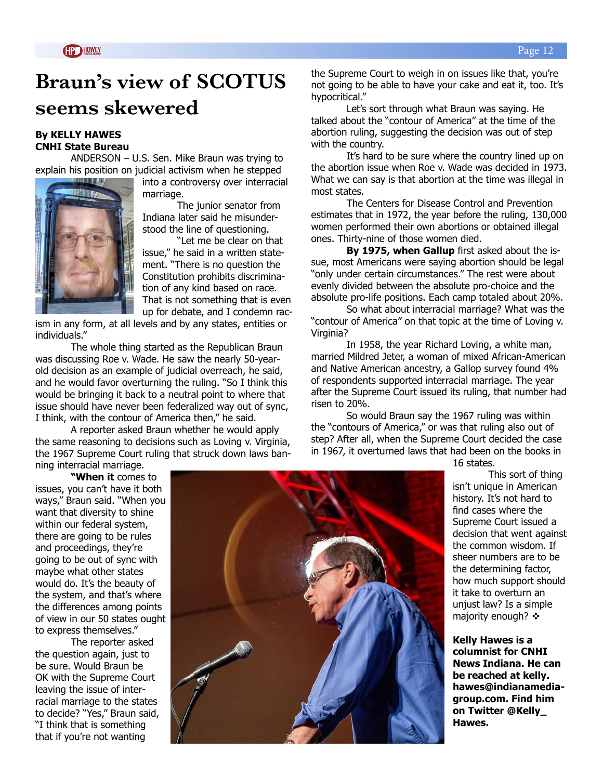## **Braun's view of SCOTUS seems skewered**

#### **By KELLY HAWES CNHI State Bureau**

ANDERSON – U.S. Sen. Mike Braun was trying to explain his position on judicial activism when he stepped



into a controversy over interracial marriage.

The junior senator from Indiana later said he misunderstood the line of questioning.

"Let me be clear on that issue," he said in a written statement. "There is no question the Constitution prohibits discrimination of any kind based on race. That is not something that is even up for debate, and I condemn rac-

ism in any form, at all levels and by any states, entities or individuals."

The whole thing started as the Republican Braun was discussing Roe v. Wade. He saw the nearly 50-yearold decision as an example of judicial overreach, he said, and he would favor overturning the ruling. "So I think this would be bringing it back to a neutral point to where that issue should have never been federalized way out of sync, I think, with the contour of America then," he said.

A reporter asked Braun whether he would apply the same reasoning to decisions such as Loving v. Virginia, the 1967 Supreme Court ruling that struck down laws banning interracial marriage.

**"When it** comes to

issues, you can't have it both ways," Braun said. "When you want that diversity to shine within our federal system, there are going to be rules and proceedings, they're going to be out of sync with maybe what other states would do. It's the beauty of the system, and that's where the differences among points of view in our 50 states ought to express themselves."

The reporter asked the question again, just to be sure. Would Braun be OK with the Supreme Court leaving the issue of interracial marriage to the states to decide? "Yes," Braun said, "I think that is something that if you're not wanting



the Supreme Court to weigh in on issues like that, you're not going to be able to have your cake and eat it, too. It's hypocritical."

Let's sort through what Braun was saying. He talked about the "contour of America" at the time of the abortion ruling, suggesting the decision was out of step with the country.

It's hard to be sure where the country lined up on the abortion issue when Roe v. Wade was decided in 1973. What we can say is that abortion at the time was illegal in most states.

The Centers for Disease Control and Prevention estimates that in 1972, the year before the ruling, 130,000 women performed their own abortions or obtained illegal ones. Thirty-nine of those women died.

**By 1975, when Gallup** first asked about the issue, most Americans were saying abortion should be legal "only under certain circumstances." The rest were about evenly divided between the absolute pro-choice and the absolute pro-life positions. Each camp totaled about 20%.

So what about interracial marriage? What was the "contour of America" on that topic at the time of Loving v. Virginia?

In 1958, the year Richard Loving, a white man, married Mildred Jeter, a woman of mixed African-American and Native American ancestry, a Gallop survey found 4% of respondents supported interracial marriage. The year after the Supreme Court issued its ruling, that number had risen to 20%.

So would Braun say the 1967 ruling was within the "contours of America," or was that ruling also out of step? After all, when the Supreme Court decided the case in 1967, it overturned laws that had been on the books in

16 states.

 This sort of thing isn't unique in American history. It's not hard to find cases where the Supreme Court issued a decision that went against the common wisdom. If sheer numbers are to be the determining factor, how much support should it take to overturn an unjust law? Is a simple majority enough?  $\cdot\cdot\cdot$ 

**Kelly Hawes is a columnist for CNHI News Indiana. He can be reached at kelly. hawes@indianamediagroup.com. Find him on Twitter @Kelly\_ Hawes.**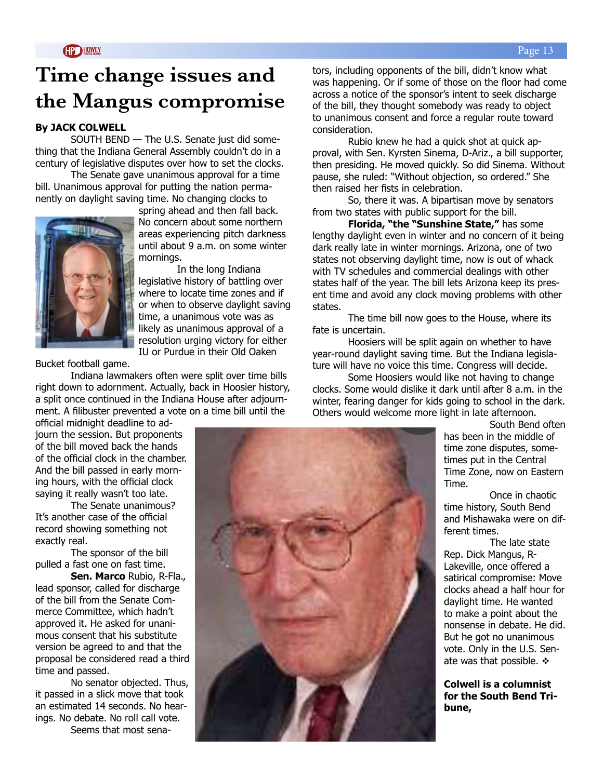## **Time change issues and the Mangus compromise**

#### **By JACK COLWELL**

SOUTH BEND — The U.S. Senate just did something that the Indiana General Assembly couldn't do in a century of legislative disputes over how to set the clocks.

 The Senate gave unanimous approval for a time bill. Unanimous approval for putting the nation permanently on daylight saving time. No changing clocks to



spring ahead and then fall back. No concern about some northern areas experiencing pitch darkness until about 9 a.m. on some winter mornings.

 In the long Indiana legislative history of battling over where to locate time zones and if or when to observe daylight saving time, a unanimous vote was as likely as unanimous approval of a resolution urging victory for either IU or Purdue in their Old Oaken

Bucket football game.

 Indiana lawmakers often were split over time bills right down to adornment. Actually, back in Hoosier history, a split once continued in the Indiana House after adjournment. A filibuster prevented a vote on a time bill until the

official midnight deadline to adjourn the session. But proponents of the bill moved back the hands of the official clock in the chamber. And the bill passed in early morning hours, with the official clock saying it really wasn't too late.

 The Senate unanimous? It's another case of the official record showing something not exactly real.

 The sponsor of the bill pulled a fast one on fast time.

 **Sen. Marco** Rubio, R-Fla., lead sponsor, called for discharge of the bill from the Senate Commerce Committee, which hadn't approved it. He asked for unanimous consent that his substitute version be agreed to and that the proposal be considered read a third time and passed.

 No senator objected. Thus, it passed in a slick move that took an estimated 14 seconds. No hearings. No debate. No roll call vote.

Seems that most sena-

tors, including opponents of the bill, didn't know what was happening. Or if some of those on the floor had come across a notice of the sponsor's intent to seek discharge of the bill, they thought somebody was ready to object to unanimous consent and force a regular route toward consideration.

 Rubio knew he had a quick shot at quick approval, with Sen. Kyrsten Sinema, D-Ariz., a bill supporter, then presiding. He moved quickly. So did Sinema. Without pause, she ruled: "Without objection, so ordered." She then raised her fists in celebration.

 So, there it was. A bipartisan move by senators from two states with public support for the bill.

 **Florida, "the "Sunshine State,"** has some lengthy daylight even in winter and no concern of it being dark really late in winter mornings. Arizona, one of two states not observing daylight time, now is out of whack with TV schedules and commercial dealings with other states half of the year. The bill lets Arizona keep its present time and avoid any clock moving problems with other states.

 The time bill now goes to the House, where its fate is uncertain.

 Hoosiers will be split again on whether to have year-round daylight saving time. But the Indiana legislature will have no voice this time. Congress will decide.

 Some Hoosiers would like not having to change clocks. Some would dislike it dark until after 8 a.m. in the winter, fearing danger for kids going to school in the dark. Others would welcome more light in late afternoon.

> South Bend often has been in the middle of time zone disputes, sometimes put in the Central Time Zone, now on Eastern Time.

> Once in chaotic time history, South Bend and Mishawaka were on different times.

 The late state Rep. Dick Mangus, R-Lakeville, once offered a satirical compromise: Move clocks ahead a half hour for daylight time. He wanted to make a point about the nonsense in debate. He did. But he got no unanimous vote. Only in the U.S. Senate was that possible.  $\div$ 

**Colwell is a columnist for the South Bend Tribune,**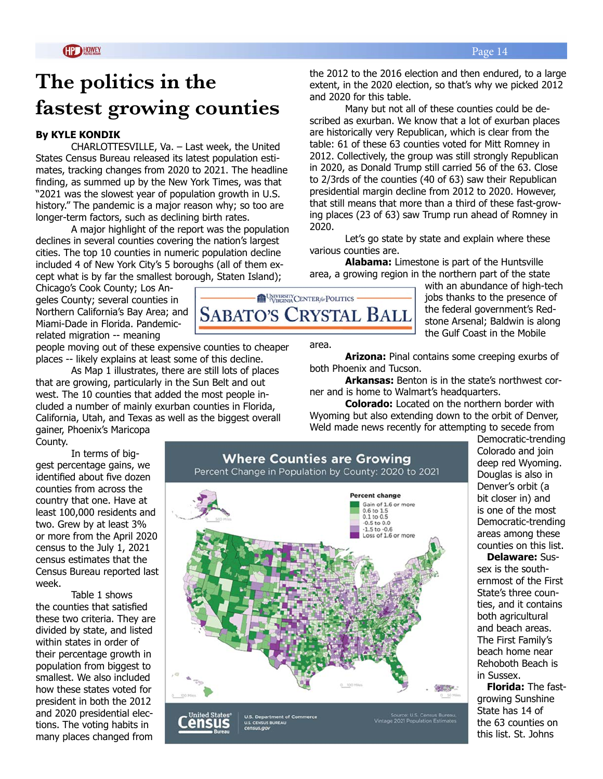## **The politics in the fastest growing counties**

#### **By KYLE KONDIK**

CHARLOTTESVILLE, Va. – Last week, the United States Census Bureau released its latest population estimates, tracking changes from 2020 to 2021. The headline finding, as summed up by the New York Times, was that "2021 was the slowest year of population growth in U.S. history." The pandemic is a major reason why; so too are longer-term factors, such as declining birth rates.

A major highlight of the report was the population declines in several counties covering the nation's largest cities. The top 10 counties in numeric population decline included 4 of New York City's 5 boroughs (all of them except what is by far the smallest borough, Staten Island);

Chicago's Cook County; Los Angeles County; several counties in Northern California's Bay Area; and Miami-Dade in Florida. Pandemicrelated migration -- meaning

people moving out of these expensive counties to cheaper places -- likely explains at least some of this decline.

As Map 1 illustrates, there are still lots of places that are growing, particularly in the Sun Belt and out west. The 10 counties that added the most people included a number of mainly exurban counties in Florida, California, Utah, and Texas as well as the biggest overall

gainer, Phoenix's Maricopa County.

In terms of biggest percentage gains, we identified about five dozen counties from across the country that one. Have at least 100,000 residents and two. Grew by at least 3% or more from the April 2020 census to the July 1, 2021 census estimates that the Census Bureau reported last week.

Table 1 shows the counties that satisfied these two criteria. They are divided by state, and listed within states in order of their percentage growth in population from biggest to smallest. We also included how these states voted for president in both the 2012 and 2020 presidential elections. The voting habits in many places changed from

with an abundance of high-tech UNIVERSITY CENTER & POLITICS jobs thanks to the presence of the federal government's Red-**SABATO'S CRYSTAL BALL** stone Arsenal; Baldwin is along the Gulf Coast in the Mobile

area.

**Arizona:** Pinal contains some creeping exurbs of both Phoenix and Tucson.

**Arkansas:** Benton is in the state's northwest corner and is home to Walmart's headquarters.

**Colorado:** Located on the northern border with Wyoming but also extending down to the orbit of Denver, Weld made news recently for attempting to secede from



Democratic-trending Colorado and join deep red Wyoming. Douglas is also in Denver's orbit (a bit closer in) and is one of the most Democratic-trending areas among these counties on this list.

**Delaware:** Sussex is the southernmost of the First State's three counties, and it contains both agricultural and beach areas. The First Family's beach home near Rehoboth Beach is in Sussex.

**Florida:** The fastgrowing Sunshine State has 14 of the 63 counties on this list. St. Johns

2012. Collectively, the group was still strongly Republican in 2020, as Donald Trump still carried 56 of the 63. Close to 2/3rds of the counties (40 of 63) saw their Republican

presidential margin decline from 2012 to 2020. However, that still means that more than a third of these fast-growing places (23 of 63) saw Trump run ahead of Romney in 2020.

extent, in the 2020 election, so that's why we picked 2012

Many but not all of these counties could be described as exurban. We know that a lot of exurban places are historically very Republican, which is clear from the table: 61 of these 63 counties voted for Mitt Romney in

and 2020 for this table.

Let's go state by state and explain where these various counties are.

**Alabama:** Limestone is part of the Huntsville area, a growing region in the northern part of the state

the 2012 to the 2016 election and then endured, to a large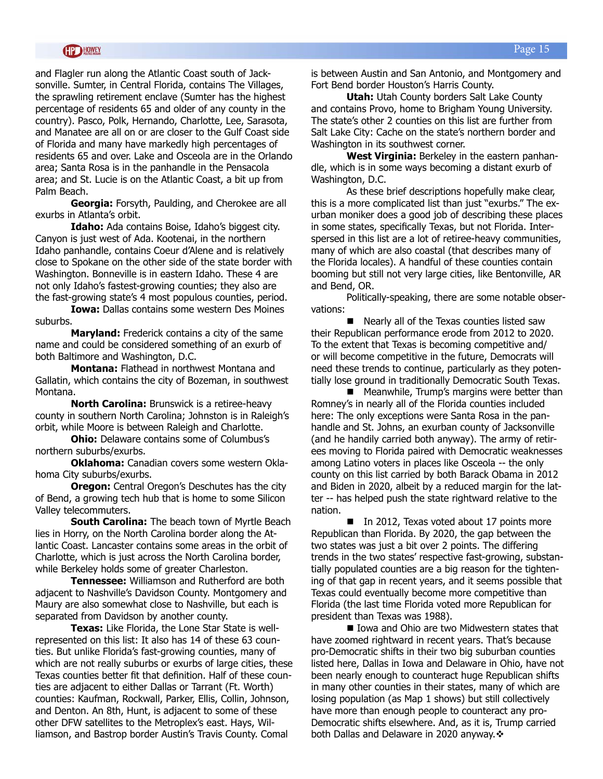and Flagler run along the Atlantic Coast south of Jacksonville. Sumter, in Central Florida, contains The Villages, the sprawling retirement enclave (Sumter has the highest percentage of residents 65 and older of any county in the country). Pasco, Polk, Hernando, Charlotte, Lee, Sarasota, and Manatee are all on or are closer to the Gulf Coast side of Florida and many have markedly high percentages of residents 65 and over. Lake and Osceola are in the Orlando area; Santa Rosa is in the panhandle in the Pensacola area; and St. Lucie is on the Atlantic Coast, a bit up from Palm Beach.

**Georgia:** Forsyth, Paulding, and Cherokee are all exurbs in Atlanta's orbit.

**Idaho:** Ada contains Boise, Idaho's biggest city. Canyon is just west of Ada. Kootenai, in the northern Idaho panhandle, contains Coeur d'Alene and is relatively close to Spokane on the other side of the state border with Washington. Bonneville is in eastern Idaho. These 4 are not only Idaho's fastest-growing counties; they also are the fast-growing state's 4 most populous counties, period.

**Iowa:** Dallas contains some western Des Moines suburbs.

**Maryland:** Frederick contains a city of the same name and could be considered something of an exurb of both Baltimore and Washington, D.C.

**Montana:** Flathead in northwest Montana and Gallatin, which contains the city of Bozeman, in southwest Montana.

**North Carolina:** Brunswick is a retiree-heavy county in southern North Carolina; Johnston is in Raleigh's orbit, while Moore is between Raleigh and Charlotte.

**Ohio:** Delaware contains some of Columbus's northern suburbs/exurbs.

**Oklahoma:** Canadian covers some western Oklahoma City suburbs/exurbs.

**Oregon:** Central Oregon's Deschutes has the city of Bend, a growing tech hub that is home to some Silicon Valley telecommuters.

**South Carolina:** The beach town of Myrtle Beach lies in Horry, on the North Carolina border along the Atlantic Coast. Lancaster contains some areas in the orbit of Charlotte, which is just across the North Carolina border, while Berkeley holds some of greater Charleston.

**Tennessee:** Williamson and Rutherford are both adjacent to Nashville's Davidson County. Montgomery and Maury are also somewhat close to Nashville, but each is separated from Davidson by another county.

**Texas:** Like Florida, the Lone Star State is wellrepresented on this list: It also has 14 of these 63 counties. But unlike Florida's fast-growing counties, many of which are not really suburbs or exurbs of large cities, these Texas counties better fit that definition. Half of these counties are adjacent to either Dallas or Tarrant (Ft. Worth) counties: Kaufman, Rockwall, Parker, Ellis, Collin, Johnson, and Denton. An 8th, Hunt, is adjacent to some of these other DFW satellites to the Metroplex's east. Hays, Williamson, and Bastrop border Austin's Travis County. Comal

is between Austin and San Antonio, and Montgomery and Fort Bend border Houston's Harris County.

**Utah:** Utah County borders Salt Lake County and contains Provo, home to Brigham Young University. The state's other 2 counties on this list are further from Salt Lake City: Cache on the state's northern border and Washington in its southwest corner.

**West Virginia:** Berkeley in the eastern panhandle, which is in some ways becoming a distant exurb of Washington, D.C.

As these brief descriptions hopefully make clear, this is a more complicated list than just "exurbs." The exurban moniker does a good job of describing these places in some states, specifically Texas, but not Florida. Interspersed in this list are a lot of retiree-heavy communities, many of which are also coastal (that describes many of the Florida locales). A handful of these counties contain booming but still not very large cities, like Bentonville, AR and Bend, OR.

Politically-speaking, there are some notable observations:

 $\blacksquare$  Nearly all of the Texas counties listed saw their Republican performance erode from 2012 to 2020. To the extent that Texas is becoming competitive and/ or will become competitive in the future, Democrats will need these trends to continue, particularly as they potentially lose ground in traditionally Democratic South Texas.

 $\blacksquare$  Meanwhile, Trump's margins were better than Romney's in nearly all of the Florida counties included here: The only exceptions were Santa Rosa in the panhandle and St. Johns, an exurban county of Jacksonville (and he handily carried both anyway). The army of retirees moving to Florida paired with Democratic weaknesses among Latino voters in places like Osceola -- the only county on this list carried by both Barack Obama in 2012 and Biden in 2020, albeit by a reduced margin for the latter -- has helped push the state rightward relative to the nation.

 $\blacksquare$  In 2012, Texas voted about 17 points more Republican than Florida. By 2020, the gap between the two states was just a bit over 2 points. The differing trends in the two states' respective fast-growing, substantially populated counties are a big reason for the tightening of that gap in recent years, and it seems possible that Texas could eventually become more competitive than Florida (the last time Florida voted more Republican for president than Texas was 1988).

■ Iowa and Ohio are two Midwestern states that have zoomed rightward in recent years. That's because pro-Democratic shifts in their two big suburban counties listed here, Dallas in Iowa and Delaware in Ohio, have not been nearly enough to counteract huge Republican shifts in many other counties in their states, many of which are losing population (as Map 1 shows) but still collectively have more than enough people to counteract any pro-Democratic shifts elsewhere. And, as it is, Trump carried both Dallas and Delaware in 2020 anyway. $\cdot$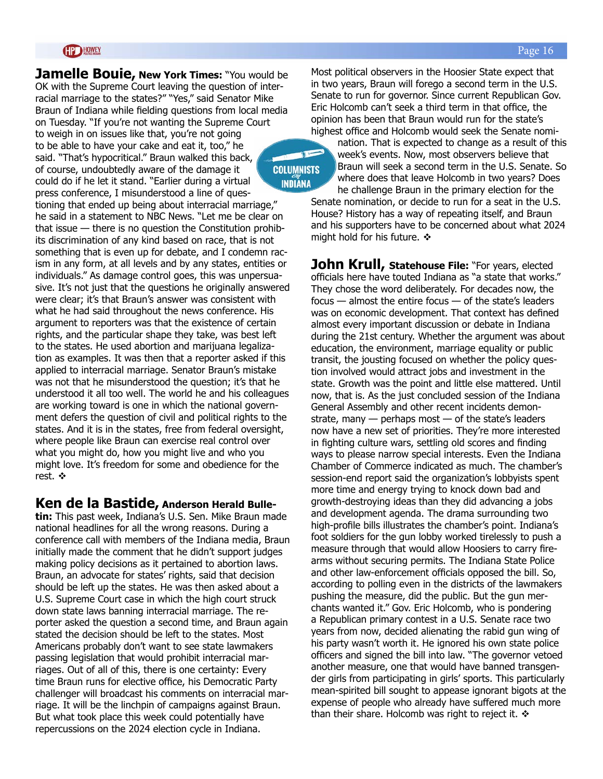**Jamelle Bouie, New York Times: "You would be** OK with the Supreme Court leaving the question of interracial marriage to the states?" "Yes," said Senator Mike Braun of Indiana while fielding questions from local media on Tuesday. "If you're not wanting the Supreme Court to weigh in on issues like that, you're not going to be able to have your cake and eat it, too," he said. "That's hypocritical." Braun walked this back, of course, undoubtedly aware of the damage it **COLUMNISTS** could do if he let it stand. "Earlier during a virtual **INDIANA** press conference, I misunderstood a line of questioning that ended up being about interracial marriage," he said in a statement to NBC News. "Let me be clear on that issue — there is no question the Constitution prohibits discrimination of any kind based on race, that is not something that is even up for debate, and I condemn racism in any form, at all levels and by any states, entities or individuals." As damage control goes, this was unpersuasive. It's not just that the questions he originally answered were clear; it's that Braun's answer was consistent with what he had said throughout the news conference. His argument to reporters was that the existence of certain rights, and the particular shape they take, was best left to the states. He used abortion and marijuana legalization as examples. It was then that a reporter asked if this applied to interracial marriage. Senator Braun's mistake was not that he misunderstood the question; it's that he understood it all too well. The world he and his colleagues are working toward is one in which the national government defers the question of civil and political rights to the states. And it is in the states, free from federal oversight, where people like Braun can exercise real control over what you might do, how you might live and who you might love. It's freedom for some and obedience for the rest. ❖

#### **Ken de la Bastide, Anderson Herald Bulle-**

**tin:** This past week, Indiana's U.S. Sen. Mike Braun made national headlines for all the wrong reasons. During a conference call with members of the Indiana media, Braun initially made the comment that he didn't support judges making policy decisions as it pertained to abortion laws. Braun, an advocate for states' rights, said that decision should be left up the states. He was then asked about a U.S. Supreme Court case in which the high court struck down state laws banning interracial marriage. The reporter asked the question a second time, and Braun again stated the decision should be left to the states. Most Americans probably don't want to see state lawmakers passing legislation that would prohibit interracial marriages. Out of all of this, there is one certainty: Every time Braun runs for elective office, his Democratic Party challenger will broadcast his comments on interracial marriage. It will be the linchpin of campaigns against Braun. But what took place this week could potentially have repercussions on the 2024 election cycle in Indiana.

Most political observers in the Hoosier State expect that in two years, Braun will forego a second term in the U.S. Senate to run for governor. Since current Republican Gov. Eric Holcomb can't seek a third term in that office, the opinion has been that Braun would run for the state's highest office and Holcomb would seek the Senate nomi-

nation. That is expected to change as a result of this week's events. Now, most observers believe that Braun will seek a second term in the U.S. Senate. So where does that leave Holcomb in two years? Does he challenge Braun in the primary election for the

Senate nomination, or decide to run for a seat in the U.S. House? History has a way of repeating itself, and Braun and his supporters have to be concerned about what 2024 might hold for his future.  $\div$ 

**John Krull, Statehouse File:** "For years, elected officials here have touted Indiana as "a state that works." They chose the word deliberately. For decades now, the focus — almost the entire focus — of the state's leaders was on economic development. That context has defined almost every important discussion or debate in Indiana during the 21st century. Whether the argument was about education, the environment, marriage equality or public transit, the jousting focused on whether the policy question involved would attract jobs and investment in the state. Growth was the point and little else mattered. Until now, that is. As the just concluded session of the Indiana General Assembly and other recent incidents demonstrate, many  $-$  perhaps most  $-$  of the state's leaders now have a new set of priorities. They're more interested in fighting culture wars, settling old scores and finding ways to please narrow special interests. Even the Indiana Chamber of Commerce indicated as much. The chamber's session-end report said the organization's lobbyists spent more time and energy trying to knock down bad and growth-destroying ideas than they did advancing a jobs and development agenda. The drama surrounding two high-profile bills illustrates the chamber's point. Indiana's foot soldiers for the gun lobby worked tirelessly to push a measure through that would allow Hoosiers to carry firearms without securing permits. The Indiana State Police and other law-enforcement officials opposed the bill. So, according to polling even in the districts of the lawmakers pushing the measure, did the public. But the gun merchants wanted it." Gov. Eric Holcomb, who is pondering a Republican primary contest in a U.S. Senate race two years from now, decided alienating the rabid gun wing of his party wasn't worth it. He ignored his own state police officers and signed the bill into law. "The governor vetoed another measure, one that would have banned transgender girls from participating in girls' sports. This particularly mean-spirited bill sought to appease ignorant bigots at the expense of people who already have suffered much more than their share. Holcomb was right to reject it.  $\triangleleft$